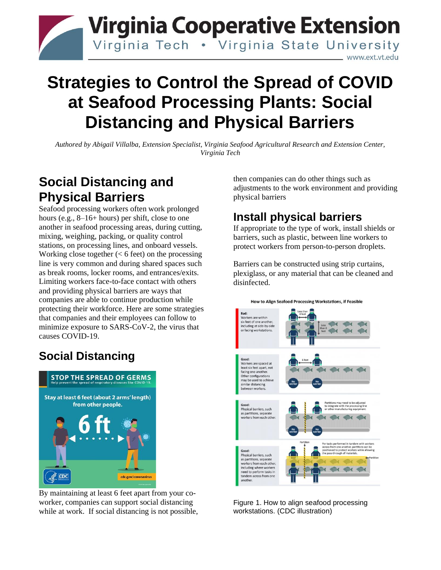

# **Strategies to Control the Spread of COVID at Seafood Processing Plants: Social Distancing and Physical Barriers**

*Authored by Abigail Villalba, Extension Specialist, Virginia Seafood Agricultural Research and Extension Center, Virginia Tech*

## **Social Distancing and Physical Barriers**

Seafood processing workers often work prolonged hours (e.g., 8–16+ hours) per shift, close to one another in seafood processing areas, during cutting, mixing, weighing, packing, or quality control stations, on processing lines, and onboard vessels. Working close together  $(< 6$  feet) on the processing line is very common and during shared spaces such as break rooms, locker rooms, and entrances/exits. Limiting workers face-to-face contact with others and providing physical barriers are ways that companies are able to continue production while protecting their workforce. Here are some strategies that companies and their employees can follow to minimize exposure to SARS-CoV-2, the virus that causes COVID-19.

## **Social Distancing**



By maintaining at least 6 feet apart from your coworker, companies can support social distancing while at work. If social distancing is not possible, then companies can do other things such as adjustments to the work environment and providing physical barriers

### **Install physical barriers**

If appropriate to the type of work, install shields or barriers, such as plastic, between line workers to protect workers from person-to-person droplets.

Barriers can be constructed using strip curtains, plexiglass, or any material that can be cleaned and disinfected.



Figure 1. How to align seafood processing workstations. (CDC illustration)